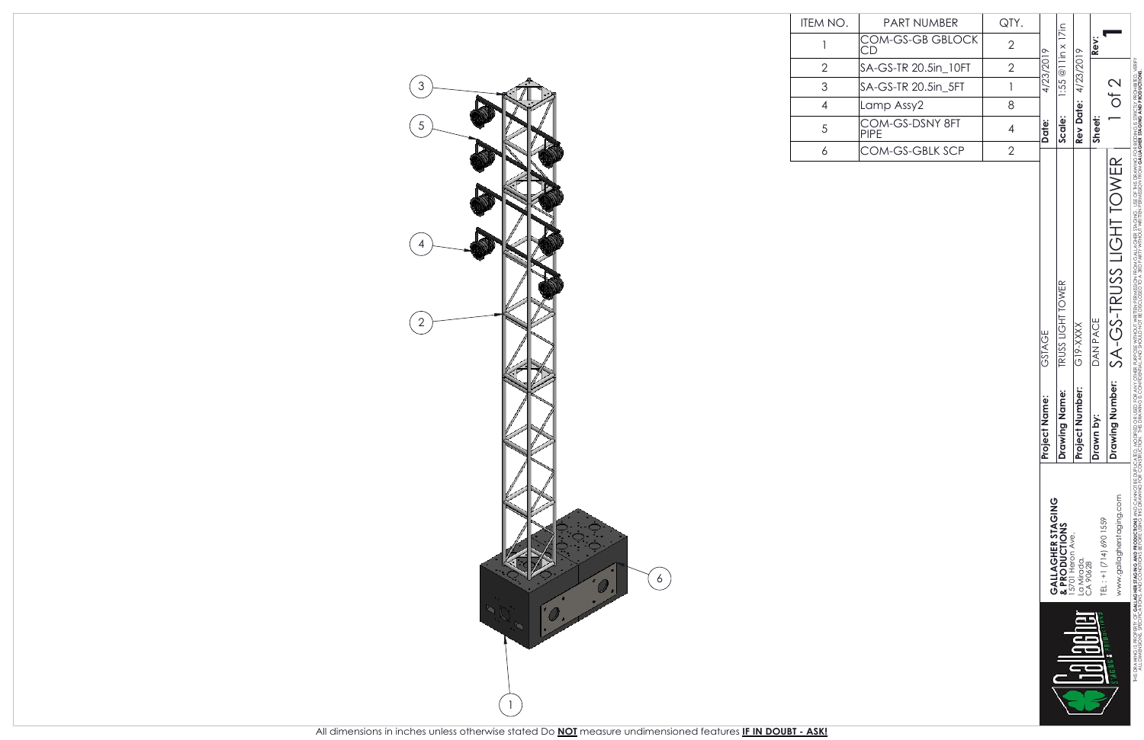

| ITEM NO.                                                   | <b>PART NUMBER</b>             | QTY.           |                  |                                    |                                |                                    |                                  |
|------------------------------------------------------------|--------------------------------|----------------|------------------|------------------------------------|--------------------------------|------------------------------------|----------------------------------|
| 1                                                          | COM-GS-GB GBLOCK<br>СD         | $\overline{2}$ |                  | $1:55@$ llin x 17in                |                                | Rev:                               |                                  |
| $\overline{2}$                                             | SA-GS-TR 20.5in_10FT           | $\sqrt{2}$     | 4/23/2019        |                                    | 4/23/2019                      |                                    |                                  |
| $\mathfrak{S}% _{M_{1},M_{2}}^{\alpha,\beta}(\varepsilon)$ | SA-GS-TR 20.5in_5FT            | 1              |                  |                                    |                                |                                    | $\overline{C}$ of $\overline{C}$ |
| $\overline{\mathcal{A}}$                                   | Lamp Assy2                     | 8              |                  |                                    |                                |                                    |                                  |
| 5                                                          | COM-GS-DSNY 8FT<br><b>PIPE</b> | $\overline{4}$ | Date:            | Scale:                             | <b>Rev Date:</b>               | Sheet:                             |                                  |
| 6                                                          | COM-GS-GBLK SCP                | $\sqrt{2}$     |                  |                                    |                                |                                    |                                  |
|                                                            |                                |                | GSTAGE           | TRUSS LIGHT TOWER                  | <b>SXXX-615</b>                | DAN PACE                           | SA-GS-TRUSS LIGHT TOWER          |
|                                                            |                                |                | Name:<br>Project | Drawing Name:                      | Number:<br>Project             | i.kg<br>Drawn                      | g Number:<br>Drawin              |
|                                                            |                                |                |                  | GALLAGHER STAGING<br>& PRODUCTIONS | 15701 Heron Ave,<br>La Mirada, | TEL: +1 (714) 690 1559<br>CA 90628 | www.gallagherstaging.com         |